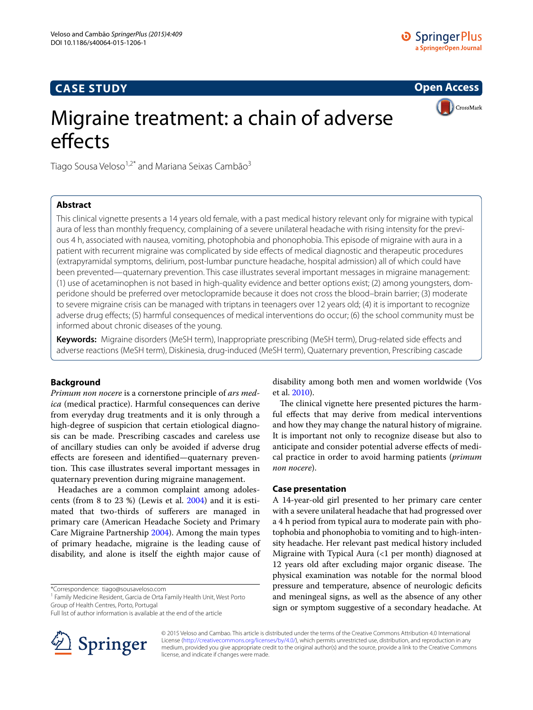# **CASE STUDY**

**Open Access**



# Migraine treatment: a chain of adverse effects

Tiago Sousa Veloso $1.2^*$  and Mariana Seixas Cambão $3$ 

# **Abstract**

This clinical vignette presents a 14 years old female, with a past medical history relevant only for migraine with typical aura of less than monthly frequency, complaining of a severe unilateral headache with rising intensity for the previous 4 h, associated with nausea, vomiting, photophobia and phonophobia. This episode of migraine with aura in a patient with recurrent migraine was complicated by side effects of medical diagnostic and therapeutic procedures (extrapyramidal symptoms, delirium, post-lumbar puncture headache, hospital admission) all of which could have been prevented—quaternary prevention. This case illustrates several important messages in migraine management: (1) use of acetaminophen is not based in high-quality evidence and better options exist; (2) among youngsters, domperidone should be preferred over metoclopramide because it does not cross the blood–brain barrier; (3) moderate to severe migraine crisis can be managed with triptans in teenagers over 12 years old; (4) it is important to recognize adverse drug effects; (5) harmful consequences of medical interventions do occur; (6) the school community must be informed about chronic diseases of the young.

**Keywords:** Migraine disorders (MeSH term), Inappropriate prescribing (MeSH term), Drug-related side effects and adverse reactions (MeSH term), Diskinesia, drug-induced (MeSH term), Quaternary prevention, Prescribing cascade

## **Background**

*Primum non nocere* is a cornerstone principle of *ars medica* (medical practice). Harmful consequences can derive from everyday drug treatments and it is only through a high-degree of suspicion that certain etiological diagnosis can be made. Prescribing cascades and careless use of ancillary studies can only be avoided if adverse drug effects are foreseen and identified—quaternary prevention. This case illustrates several important messages in quaternary prevention during migraine management.

Headaches are a common complaint among adolescents (from 8 to 23 %) (Lewis et al. [2004](#page-3-0)) and it is estimated that two-thirds of sufferers are managed in primary care (American Headache Society and Primary Care Migraine Partnership [2004\)](#page-3-1). Among the main types of primary headache, migraine is the leading cause of disability, and alone is itself the eighth major cause of

\*Correspondence: tiago@sousaveloso.com

Full list of author information is available at the end of the article



disability among both men and women worldwide (Vos et al. [2010](#page-3-2)).

The clinical vignette here presented pictures the harmful effects that may derive from medical interventions and how they may change the natural history of migraine. It is important not only to recognize disease but also to anticipate and consider potential adverse effects of medical practice in order to avoid harming patients (*primum non nocere*).

#### **Case presentation**

A 14-year-old girl presented to her primary care center with a severe unilateral headache that had progressed over a 4 h period from typical aura to moderate pain with photophobia and phonophobia to vomiting and to high-intensity headache. Her relevant past medical history included Migraine with Typical Aura (<1 per month) diagnosed at 12 years old after excluding major organic disease. The physical examination was notable for the normal blood pressure and temperature, absence of neurologic deficits and meningeal signs, as well as the absence of any other sign or symptom suggestive of a secondary headache. At

© 2015 Veloso and Cambao. This article is distributed under the terms of the Creative Commons Attribution 4.0 International License (<http://creativecommons.org/licenses/by/4.0/>), which permits unrestricted use, distribution, and reproduction in any medium, provided you give appropriate credit to the original author(s) and the source, provide a link to the Creative Commons license, and indicate if changes were made.

<sup>&</sup>lt;sup>1</sup> Family Medicine Resident, Garcia de Orta Family Health Unit, West Porto Group of Health Centres, Porto, Portugal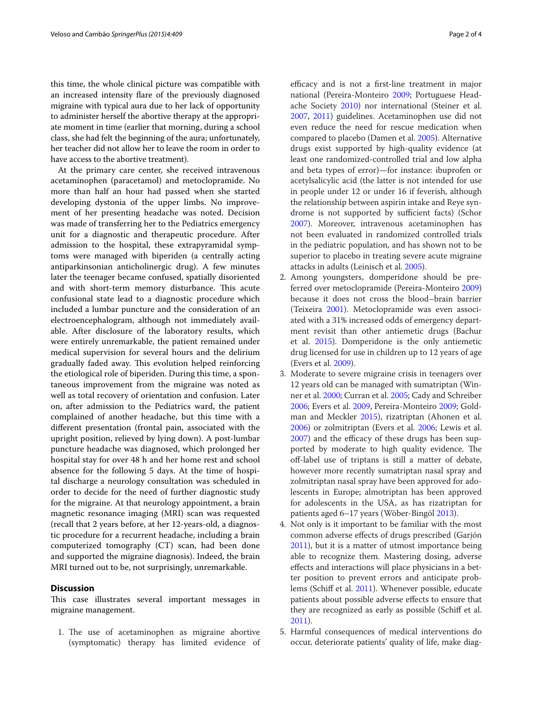this time, the whole clinical picture was compatible with an increased intensity flare of the previously diagnosed migraine with typical aura due to her lack of opportunity to administer herself the abortive therapy at the appropriate moment in time (earlier that morning, during a school class, she had felt the beginning of the aura; unfortunately, her teacher did not allow her to leave the room in order to have access to the abortive treatment).

At the primary care center, she received intravenous acetaminophen (paracetamol) and metoclopramide. No more than half an hour had passed when she started developing dystonia of the upper limbs. No improvement of her presenting headache was noted. Decision was made of transferring her to the Pediatrics emergency unit for a diagnostic and therapeutic procedure. After admission to the hospital, these extrapyramidal symptoms were managed with biperiden (a centrally acting antiparkinsonian anticholinergic drug). A few minutes later the teenager became confused, spatially disoriented and with short-term memory disturbance. This acute confusional state lead to a diagnostic procedure which included a lumbar puncture and the consideration of an electroencephalogram, although not immediately available. After disclosure of the laboratory results, which were entirely unremarkable, the patient remained under medical supervision for several hours and the delirium gradually faded away. This evolution helped reinforcing the etiological role of biperiden. During this time, a spontaneous improvement from the migraine was noted as well as total recovery of orientation and confusion. Later on, after admission to the Pediatrics ward, the patient complained of another headache, but this time with a different presentation (frontal pain, associated with the upright position, relieved by lying down). A post-lumbar puncture headache was diagnosed, which prolonged her hospital stay for over 48 h and her home rest and school absence for the following 5 days. At the time of hospital discharge a neurology consultation was scheduled in order to decide for the need of further diagnostic study for the migraine. At that neurology appointment, a brain magnetic resonance imaging (MRI) scan was requested (recall that 2 years before, at her 12-years-old, a diagnostic procedure for a recurrent headache, including a brain computerized tomography (CT) scan, had been done and supported the migraine diagnosis). Indeed, the brain MRI turned out to be, not surprisingly, unremarkable.

## **Discussion**

This case illustrates several important messages in migraine management.

1. The use of acetaminophen as migraine abortive (symptomatic) therapy has limited evidence of

efficacy and is not a first-line treatment in major national (Pereira-Monteiro [2009](#page-3-3); Portuguese Headache Society [2010](#page-3-4)) nor international (Steiner et al. [2007](#page-3-5), [2011](#page-3-6)) guidelines. Acetaminophen use did not even reduce the need for rescue medication when compared to placebo (Damen et al. [2005](#page-3-7)). Alternative drugs exist supported by high-quality evidence (at least one randomized-controlled trial and low alpha and beta types of error)—for instance: ibuprofen or acetylsalicylic acid (the latter is not intended for use in people under 12 or under 16 if feverish, although the relationship between aspirin intake and Reye syndrome is not supported by sufficient facts) (Schor [2007](#page-3-8)). Moreover, intravenous acetaminophen has not been evaluated in randomized controlled trials in the pediatric population, and has shown not to be superior to placebo in treating severe acute migraine attacks in adults (Leinisch et al. [2005\)](#page-3-9).

- 2. Among youngsters, domperidone should be preferred over metoclopramide (Pereira-Monteiro [2009](#page-3-3)) because it does not cross the blood–brain barrier (Teixeira [2001](#page-3-10)). Metoclopramide was even associated with a 31% increased odds of emergency department revisit than other antiemetic drugs (Bachur et al. [2015](#page-3-11)). Domperidone is the only antiemetic drug licensed for use in children up to 12 years of age (Evers et al. [2009](#page-3-12)).
- 3. Moderate to severe migraine crisis in teenagers over 12 years old can be managed with sumatriptan (Winner et al. [2000](#page-3-13); Curran et al. [2005;](#page-3-14) Cady and Schreiber [2006](#page-3-15); Evers et al. [2009,](#page-3-12) Pereira-Monteiro [2009](#page-3-3); Goldman and Meckler [2015](#page-3-16)), rizatriptan (Ahonen et al. [2006](#page-2-0)) or zolmitriptan (Evers et al. [2006;](#page-3-17) Lewis et al. [2007](#page-3-18)) and the efficacy of these drugs has been supported by moderate to high quality evidence. The off-label use of triptans is still a matter of debate, however more recently sumatriptan nasal spray and zolmitriptan nasal spray have been approved for adolescents in Europe; almotriptan has been approved for adolescents in the USA, as has rizatriptan for patients aged 6–17 years (Wöber-Bingöl [2013](#page-3-19)).
- 4. Not only is it important to be familiar with the most common adverse effects of drugs prescribed (Garjón [2011](#page-3-20)), but it is a matter of utmost importance being able to recognize them. Mastering dosing, adverse effects and interactions will place physicians in a better position to prevent errors and anticipate problems (Schiff et al. [2011\)](#page-3-21). Whenever possible, educate patients about possible adverse effects to ensure that they are recognized as early as possible (Schiff et al. [2011](#page-3-21)).
- 5. Harmful consequences of medical interventions do occur, deteriorate patients' quality of life, make diag-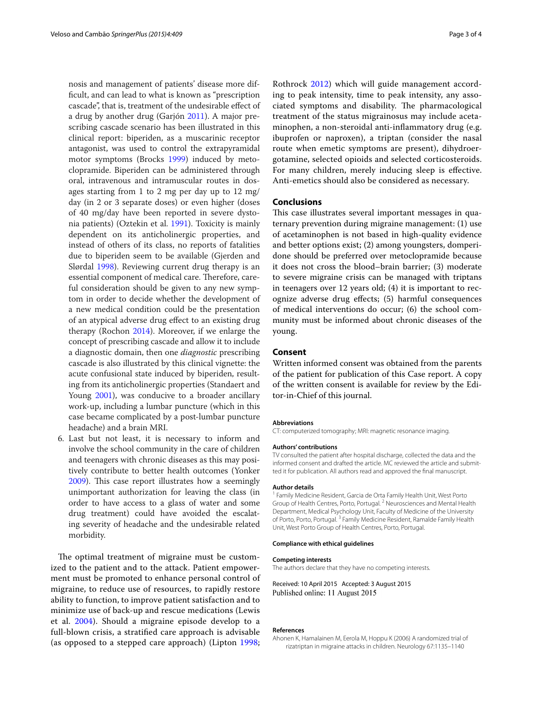nosis and management of patients' disease more difficult, and can lead to what is known as "prescription cascade", that is, treatment of the undesirable effect of a drug by another drug (Garjón [2011\)](#page-3-20). A major prescribing cascade scenario has been illustrated in this clinical report: biperiden, as a muscarinic receptor antagonist, was used to control the extrapyramidal motor symptoms (Brocks [1999](#page-3-22)) induced by metoclopramide. Biperiden can be administered through oral, intravenous and intramuscular routes in dosages starting from 1 to 2 mg per day up to 12 mg/ day (in 2 or 3 separate doses) or even higher (doses of 40 mg/day have been reported in severe dystonia patients) (Oztekin et al. [1991](#page-3-23)). Toxicity is mainly dependent on its anticholinergic properties, and instead of others of its class, no reports of fatalities due to biperiden seem to be available (Gjerden and Slørdal [1998](#page-3-24)). Reviewing current drug therapy is an essential component of medical care. Therefore, careful consideration should be given to any new symptom in order to decide whether the development of a new medical condition could be the presentation of an atypical adverse drug effect to an existing drug therapy (Rochon [2014\)](#page-3-25). Moreover, if we enlarge the concept of prescribing cascade and allow it to include a diagnostic domain, then one *diagnostic* prescribing cascade is also illustrated by this clinical vignette: the acute confusional state induced by biperiden, resulting from its anticholinergic properties (Standaert and Young [2001\)](#page-3-26), was conducive to a broader ancillary work-up, including a lumbar puncture (which in this case became complicated by a post-lumbar puncture headache) and a brain MRI.

6. Last but not least, it is necessary to inform and involve the school community in the care of children and teenagers with chronic diseases as this may positively contribute to better health outcomes (Yonker [2009\)](#page-3-27). This case report illustrates how a seemingly unimportant authorization for leaving the class (in order to have access to a glass of water and some drug treatment) could have avoided the escalating severity of headache and the undesirable related morbidity.

The optimal treatment of migraine must be customized to the patient and to the attack. Patient empowerment must be promoted to enhance personal control of migraine, to reduce use of resources, to rapidly restore ability to function, to improve patient satisfaction and to minimize use of back-up and rescue medications (Lewis et al. [2004\)](#page-3-0). Should a migraine episode develop to a full-blown crisis, a stratified care approach is advisable (as opposed to a stepped care approach) (Lipton [1998](#page-3-28);

Rothrock [2012](#page-3-29)) which will guide management according to peak intensity, time to peak intensity, any associated symptoms and disability. The pharmacological treatment of the status migrainosus may include acetaminophen, a non-steroidal anti-inflammatory drug (e.g. ibuprofen or naproxen), a triptan (consider the nasal route when emetic symptoms are present), dihydroergotamine, selected opioids and selected corticosteroids. For many children, merely inducing sleep is effective. Anti-emetics should also be considered as necessary.

## **Conclusions**

This case illustrates several important messages in quaternary prevention during migraine management: (1) use of acetaminophen is not based in high-quality evidence and better options exist; (2) among youngsters, domperidone should be preferred over metoclopramide because it does not cross the blood–brain barrier; (3) moderate to severe migraine crisis can be managed with triptans in teenagers over 12 years old; (4) it is important to recognize adverse drug effects; (5) harmful consequences of medical interventions do occur; (6) the school community must be informed about chronic diseases of the young.

## **Consent**

Written informed consent was obtained from the parents of the patient for publication of this Case report. A copy of the written consent is available for review by the Editor-in-Chief of this journal.

#### **Abbreviations**

CT: computerized tomography; MRI: magnetic resonance imaging.

#### **Authors' contributions**

TV consulted the patient after hospital discharge, collected the data and the informed consent and drafted the article. MC reviewed the article and submitted it for publication. All authors read and approved the final manuscript.

#### **Author details**

<sup>1</sup> Family Medicine Resident, Garcia de Orta Family Health Unit, West Porto Group of Health Centres, Porto, Portugal. <sup>2</sup> Neurosciences and Mental Health Department, Medical Psychology Unit, Faculty of Medicine of the University of Porto, Porto, Portugal.<sup>3</sup> Family Medicine Resident, Ramalde Family Health Unit, West Porto Group of Health Centres, Porto, Portugal.

#### **Compliance with ethical guidelines**

#### **Competing interests**

The authors declare that they have no competing interests.

Received: 10 April 2015 Accepted: 3 August 2015 Published online: 11 August 2015

#### **References**

<span id="page-2-0"></span>Ahonen K, Hamalainen M, Eerola M, Hoppu K (2006) A randomized trial of rizatriptan in migraine attacks in children. Neurology 67:1135–1140